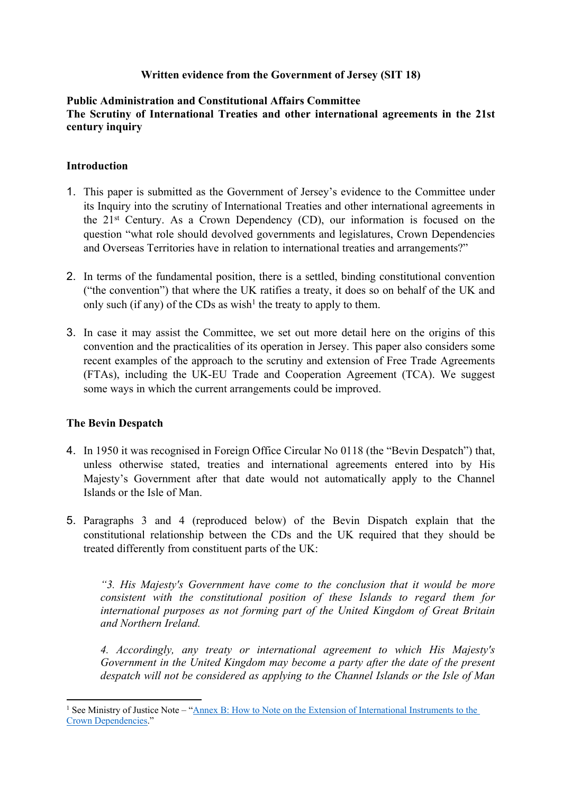### **Written evidence from the Government of Jersey (SIT 18)**

### **Public Administration and Constitutional Affairs Committee The Scrutiny of International Treaties and other international agreements in the 21st century inquiry**

#### **Introduction**

- 1. This paper is submitted as the Government of Jersey's evidence to the Committee under its Inquiry into the scrutiny of International Treaties and other international agreements in the 21st Century. As a Crown Dependency (CD), our information is focused on the question "what role should devolved governments and legislatures, Crown Dependencies and Overseas Territories have in relation to international treaties and arrangements?"
- 2. In terms of the fundamental position, there is a settled, binding constitutional convention ("the convention") that where the UK ratifies a treaty, it does so on behalf of the UK and only such (if any) of the CDs as wish<sup>1</sup> the treaty to apply to them.
- 3. In case it may assist the Committee, we set out more detail here on the origins of this convention and the practicalities of its operation in Jersey. This paper also considers some recent examples of the approach to the scrutiny and extension of Free Trade Agreements (FTAs), including the UK-EU Trade and Cooperation Agreement (TCA). We suggest some ways in which the current arrangements could be improved.

#### **The Bevin Despatch**

- 4. In 1950 it was recognised in Foreign Office Circular No 0118 (the "Bevin Despatch") that, unless otherwise stated, treaties and international agreements entered into by His Majesty's Government after that date would not automatically apply to the Channel Islands or the Isle of Man.
- 5. Paragraphs 3 and 4 (reproduced below) of the Bevin Dispatch explain that the constitutional relationship between the CDs and the UK required that they should be treated differently from constituent parts of the UK:

*"3. His Majesty's Government have come to the conclusion that it would be more consistent with the constitutional position of these Islands to regard them for international purposes as not forming part of the United Kingdom of Great Britain and Northern Ireland.*

*4. Accordingly, any treaty or international agreement to which His Majesty's Government in the United Kingdom may become a party after the date of the present despatch will not be considered as applying to the Channel Islands or the Isle of Man*

<sup>&</sup>lt;sup>1</sup> See Ministry of Justice Note – "[Annex](https://assets.publishing.service.gov.uk/government/uploads/system/uploads/attachment_data/file/185881/international-instruments-crown-dependencies.pdf) [B:](https://assets.publishing.service.gov.uk/government/uploads/system/uploads/attachment_data/file/185881/international-instruments-crown-dependencies.pdf) [How](https://assets.publishing.service.gov.uk/government/uploads/system/uploads/attachment_data/file/185881/international-instruments-crown-dependencies.pdf) [to](https://assets.publishing.service.gov.uk/government/uploads/system/uploads/attachment_data/file/185881/international-instruments-crown-dependencies.pdf) [Note](https://assets.publishing.service.gov.uk/government/uploads/system/uploads/attachment_data/file/185881/international-instruments-crown-dependencies.pdf) [on](https://assets.publishing.service.gov.uk/government/uploads/system/uploads/attachment_data/file/185881/international-instruments-crown-dependencies.pdf) [the](https://assets.publishing.service.gov.uk/government/uploads/system/uploads/attachment_data/file/185881/international-instruments-crown-dependencies.pdf) [Extension](https://assets.publishing.service.gov.uk/government/uploads/system/uploads/attachment_data/file/185881/international-instruments-crown-dependencies.pdf) [of](https://assets.publishing.service.gov.uk/government/uploads/system/uploads/attachment_data/file/185881/international-instruments-crown-dependencies.pdf) [International](https://assets.publishing.service.gov.uk/government/uploads/system/uploads/attachment_data/file/185881/international-instruments-crown-dependencies.pdf) [Instruments](https://assets.publishing.service.gov.uk/government/uploads/system/uploads/attachment_data/file/185881/international-instruments-crown-dependencies.pdf) to the [Crown](https://assets.publishing.service.gov.uk/government/uploads/system/uploads/attachment_data/file/185881/international-instruments-crown-dependencies.pdf) [Dependencies](https://assets.publishing.service.gov.uk/government/uploads/system/uploads/attachment_data/file/185881/international-instruments-crown-dependencies.pdf)."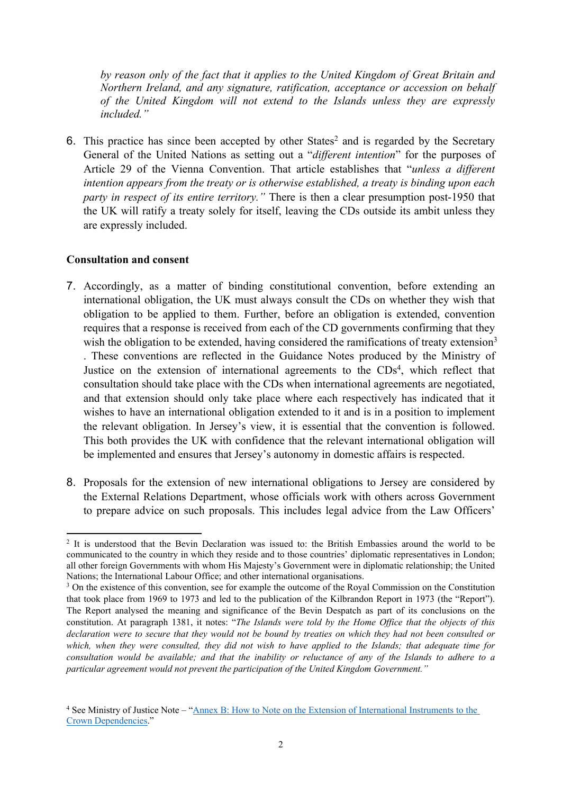*by reason only of the fact that it applies to the United Kingdom of Great Britain and Northern Ireland, and any signature, ratification, acceptance or accession on behalf of the United Kingdom will not extend to the Islands unless they are expressly included."*

6. This practice has since been accepted by other States<sup>2</sup> and is regarded by the Secretary General of the United Nations as setting out a "*different intention*" for the purposes of Article 29 of the Vienna Convention. That article establishes that "*unless a different intention appears from the treaty or is otherwise established, a treaty is binding upon each party in respect of its entire territory."* There is then a clear presumption post-1950 that the UK will ratify a treaty solely for itself, leaving the CDs outside its ambit unless they are expressly included.

#### **Consultation and consent**

- 7. Accordingly, as a matter of binding constitutional convention, before extending an international obligation, the UK must always consult the CDs on whether they wish that obligation to be applied to them. Further, before an obligation is extended, convention requires that a response is received from each of the CD governments confirming that they wish the obligation to be extended, having considered the ramifications of treaty extension<sup>3</sup> . These conventions are reflected in the Guidance Notes produced by the Ministry of Justice on the extension of international agreements to the CDs<sup>4</sup>, which reflect that consultation should take place with the CDs when international agreements are negotiated, and that extension should only take place where each respectively has indicated that it wishes to have an international obligation extended to it and is in a position to implement the relevant obligation. In Jersey's view, it is essential that the convention is followed. This both provides the UK with confidence that the relevant international obligation will be implemented and ensures that Jersey's autonomy in domestic affairs is respected.
- 8. Proposals for the extension of new international obligations to Jersey are considered by the External Relations Department, whose officials work with others across Government to prepare advice on such proposals. This includes legal advice from the Law Officers'

<sup>&</sup>lt;sup>2</sup> It is understood that the Bevin Declaration was issued to: the British Embassies around the world to be communicated to the country in which they reside and to those countries' diplomatic representatives in London; all other foreign Governments with whom His Majesty's Government were in diplomatic relationship; the United Nations; the International Labour Office; and other international organisations.

<sup>&</sup>lt;sup>3</sup> On the existence of this convention, see for example the outcome of the Royal Commission on the Constitution that took place from 1969 to 1973 and led to the publication of the Kilbrandon Report in 1973 (the "Report"). The Report analysed the meaning and significance of the Bevin Despatch as part of its conclusions on the constitution. At paragraph 1381, it notes: "*The Islands were told by the Home Office that the objects of this* declaration were to secure that they would not be bound by treaties on which they had not been consulted or which, when they were consulted, they did not wish to have applied to the Islands; that adequate time for consultation would be available; and that the inability or reluctance of any of the Islands to adhere to a *particular agreement would not prevent the participation of the United Kingdom Government."*

<sup>4</sup> See Ministry of Justice Note – "[Annex](https://assets.publishing.service.gov.uk/government/uploads/system/uploads/attachment_data/file/185881/international-instruments-crown-dependencies.pdf) [B:](https://assets.publishing.service.gov.uk/government/uploads/system/uploads/attachment_data/file/185881/international-instruments-crown-dependencies.pdf) [How](https://assets.publishing.service.gov.uk/government/uploads/system/uploads/attachment_data/file/185881/international-instruments-crown-dependencies.pdf) [to](https://assets.publishing.service.gov.uk/government/uploads/system/uploads/attachment_data/file/185881/international-instruments-crown-dependencies.pdf) [Note](https://assets.publishing.service.gov.uk/government/uploads/system/uploads/attachment_data/file/185881/international-instruments-crown-dependencies.pdf) [on](https://assets.publishing.service.gov.uk/government/uploads/system/uploads/attachment_data/file/185881/international-instruments-crown-dependencies.pdf) [the](https://assets.publishing.service.gov.uk/government/uploads/system/uploads/attachment_data/file/185881/international-instruments-crown-dependencies.pdf) [Extension](https://assets.publishing.service.gov.uk/government/uploads/system/uploads/attachment_data/file/185881/international-instruments-crown-dependencies.pdf) [of](https://assets.publishing.service.gov.uk/government/uploads/system/uploads/attachment_data/file/185881/international-instruments-crown-dependencies.pdf) [International](https://assets.publishing.service.gov.uk/government/uploads/system/uploads/attachment_data/file/185881/international-instruments-crown-dependencies.pdf) [Instruments](https://assets.publishing.service.gov.uk/government/uploads/system/uploads/attachment_data/file/185881/international-instruments-crown-dependencies.pdf) [to](https://assets.publishing.service.gov.uk/government/uploads/system/uploads/attachment_data/file/185881/international-instruments-crown-dependencies.pdf) [the](https://assets.publishing.service.gov.uk/government/uploads/system/uploads/attachment_data/file/185881/international-instruments-crown-dependencies.pdf) [Crown](https://assets.publishing.service.gov.uk/government/uploads/system/uploads/attachment_data/file/185881/international-instruments-crown-dependencies.pdf) [Dependencies](https://assets.publishing.service.gov.uk/government/uploads/system/uploads/attachment_data/file/185881/international-instruments-crown-dependencies.pdf)."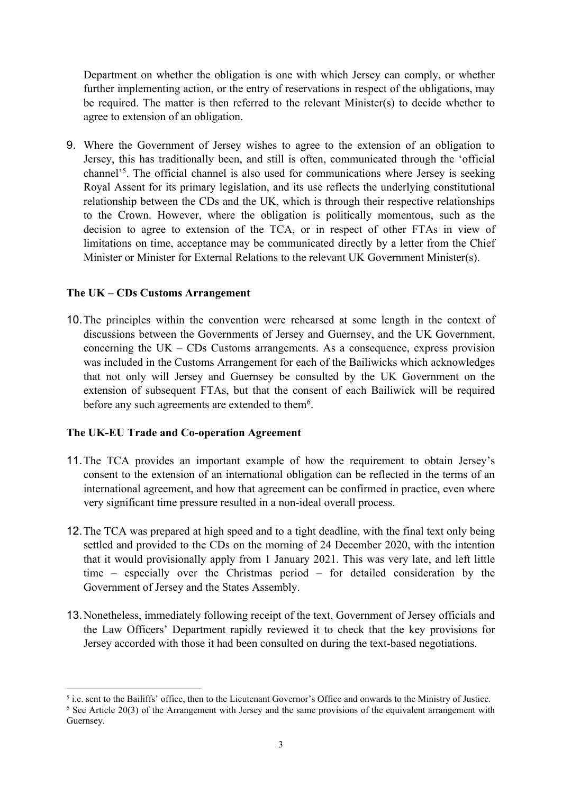Department on whether the obligation is one with which Jersey can comply, or whether further implementing action, or the entry of reservations in respect of the obligations, may be required. The matter is then referred to the relevant Minister(s) to decide whether to agree to extension of an obligation.

9. Where the Government of Jersey wishes to agree to the extension of an obligation to Jersey, this has traditionally been, and still is often, communicated through the 'official channel'<sup>5</sup>. The official channel is also used for communications where Jersey is seeking Royal Assent for its primary legislation, and its use reflects the underlying constitutional relationship between the CDs and the UK, which is through their respective relationships to the Crown. However, where the obligation is politically momentous, such as the decision to agree to extension of the TCA, or in respect of other FTAs in view of limitations on time, acceptance may be communicated directly by a letter from the Chief Minister or Minister for External Relations to the relevant UK Government Minister(s).

## **The UK – CDs Customs Arrangement**

10.The principles within the convention were rehearsed at some length in the context of discussions between the Governments of Jersey and Guernsey, and the UK Government, concerning the UK – CDs Customs arrangements. As a consequence, express provision was included in the Customs Arrangement for each of the Bailiwicks which acknowledges that not only will Jersey and Guernsey be consulted by the UK Government on the extension of subsequent FTAs, but that the consent of each Bailiwick will be required before any such agreements are extended to them<sup>6</sup>.

# **The UK-EU Trade and Co-operation Agreement**

- 11.The TCA provides an important example of how the requirement to obtain Jersey's consent to the extension of an international obligation can be reflected in the terms of an international agreement, and how that agreement can be confirmed in practice, even where very significant time pressure resulted in a non-ideal overall process.
- 12.The TCA was prepared at high speed and to a tight deadline, with the final text only being settled and provided to the CDs on the morning of 24 December 2020, with the intention that it would provisionally apply from 1 January 2021. This was very late, and left little time – especially over the Christmas period – for detailed consideration by the Government of Jersey and the States Assembly.
- 13.Nonetheless, immediately following receipt of the text, Government of Jersey officials and the Law Officers' Department rapidly reviewed it to check that the key provisions for Jersey accorded with those it had been consulted on during the text-based negotiations.

<sup>5</sup> i.e. sent to the Bailiffs' office, then to the Lieutenant Governor's Office and onwards to the Ministry of Justice. <sup>6</sup> See Article 20(3) of the Arrangement with Jersey and the same provisions of the equivalent arrangement with Guernsey.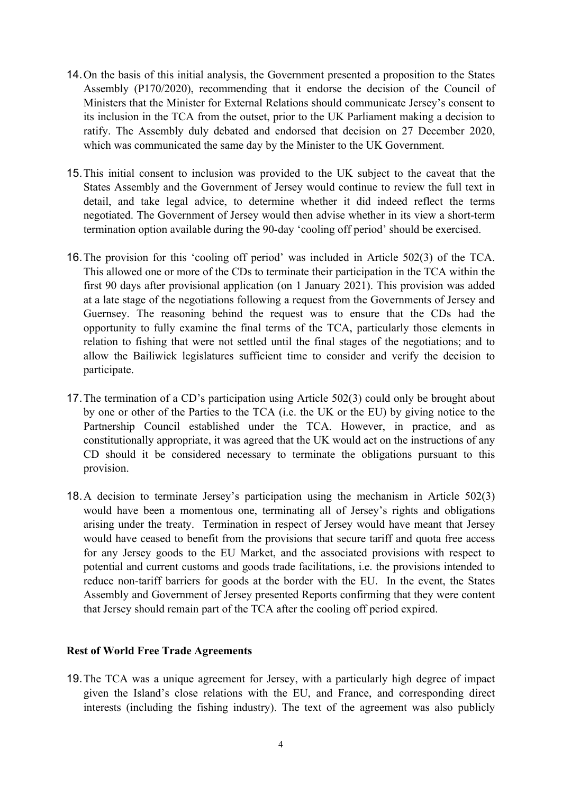- 14.On the basis of this initial analysis, the Government presented a proposition to the States Assembly (P170/2020), recommending that it endorse the decision of the Council of Ministers that the Minister for External Relations should communicate Jersey's consent to its inclusion in the TCA from the outset, prior to the UK Parliament making a decision to ratify. The Assembly duly debated and endorsed that decision on 27 December 2020, which was communicated the same day by the Minister to the UK Government.
- 15.This initial consent to inclusion was provided to the UK subject to the caveat that the States Assembly and the Government of Jersey would continue to review the full text in detail, and take legal advice, to determine whether it did indeed reflect the terms negotiated. The Government of Jersey would then advise whether in its view a short-term termination option available during the 90-day 'cooling off period' should be exercised.
- 16.The provision for this 'cooling off period' was included in Article 502(3) of the TCA. This allowed one or more of the CDs to terminate their participation in the TCA within the first 90 days after provisional application (on 1 January 2021). This provision was added at a late stage of the negotiations following a request from the Governments of Jersey and Guernsey. The reasoning behind the request was to ensure that the CDs had the opportunity to fully examine the final terms of the TCA, particularly those elements in relation to fishing that were not settled until the final stages of the negotiations; and to allow the Bailiwick legislatures sufficient time to consider and verify the decision to participate.
- 17.The termination of a CD's participation using Article 502(3) could only be brought about by one or other of the Parties to the TCA (i.e. the UK or the EU) by giving notice to the Partnership Council established under the TCA. However, in practice, and as constitutionally appropriate, it was agreed that the UK would act on the instructions of any CD should it be considered necessary to terminate the obligations pursuant to this provision.
- 18.A decision to terminate Jersey's participation using the mechanism in Article 502(3) would have been a momentous one, terminating all of Jersey's rights and obligations arising under the treaty. Termination in respect of Jersey would have meant that Jersey would have ceased to benefit from the provisions that secure tariff and quota free access for any Jersey goods to the EU Market, and the associated provisions with respect to potential and current customs and goods trade facilitations, i.e. the provisions intended to reduce non-tariff barriers for goods at the border with the EU. In the event, the States Assembly and Government of Jersey presented Reports confirming that they were content that Jersey should remain part of the TCA after the cooling off period expired.

#### **Rest of World Free Trade Agreements**

19.The TCA was a unique agreement for Jersey, with a particularly high degree of impact given the Island's close relations with the EU, and France, and corresponding direct interests (including the fishing industry). The text of the agreement was also publicly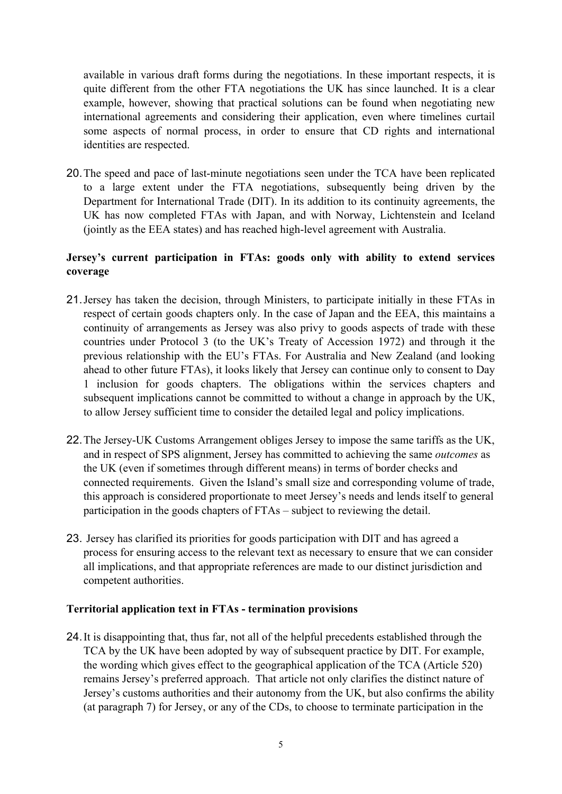available in various draft forms during the negotiations. In these important respects, it is quite different from the other FTA negotiations the UK has since launched. It is a clear example, however, showing that practical solutions can be found when negotiating new international agreements and considering their application, even where timelines curtail some aspects of normal process, in order to ensure that CD rights and international identities are respected.

20.The speed and pace of last-minute negotiations seen under the TCA have been replicated to a large extent under the FTA negotiations, subsequently being driven by the Department for International Trade (DIT). In its addition to its continuity agreements, the UK has now completed FTAs with Japan, and with Norway, Lichtenstein and Iceland (jointly as the EEA states) and has reached high-level agreement with Australia.

## **Jersey's current participation in FTAs: goods only with ability to extend services coverage**

- 21.Jersey has taken the decision, through Ministers, to participate initially in these FTAs in respect of certain goods chapters only. In the case of Japan and the EEA, this maintains a continuity of arrangements as Jersey was also privy to goods aspects of trade with these countries under Protocol 3 (to the UK's Treaty of Accession 1972) and through it the previous relationship with the EU's FTAs. For Australia and New Zealand (and looking ahead to other future FTAs), it looks likely that Jersey can continue only to consent to Day 1 inclusion for goods chapters. The obligations within the services chapters and subsequent implications cannot be committed to without a change in approach by the UK, to allow Jersey sufficient time to consider the detailed legal and policy implications.
- 22.The Jersey-UK Customs Arrangement obliges Jersey to impose the same tariffs as the UK, and in respect of SPS alignment, Jersey has committed to achieving the same *outcomes* as the UK (even if sometimes through different means) in terms of border checks and connected requirements. Given the Island's small size and corresponding volume of trade, this approach is considered proportionate to meet Jersey's needs and lends itself to general participation in the goods chapters of FTAs – subject to reviewing the detail.
- 23. Jersey has clarified its priorities for goods participation with DIT and has agreed a process for ensuring access to the relevant text as necessary to ensure that we can consider all implications, and that appropriate references are made to our distinct jurisdiction and competent authorities.

## **Territorial application text in FTAs - termination provisions**

24.It is disappointing that, thus far, not all of the helpful precedents established through the TCA by the UK have been adopted by way of subsequent practice by DIT. For example, the wording which gives effect to the geographical application of the TCA (Article 520) remains Jersey's preferred approach. That article not only clarifies the distinct nature of Jersey's customs authorities and their autonomy from the UK, but also confirms the ability (at paragraph 7) for Jersey, or any of the CDs, to choose to terminate participation in the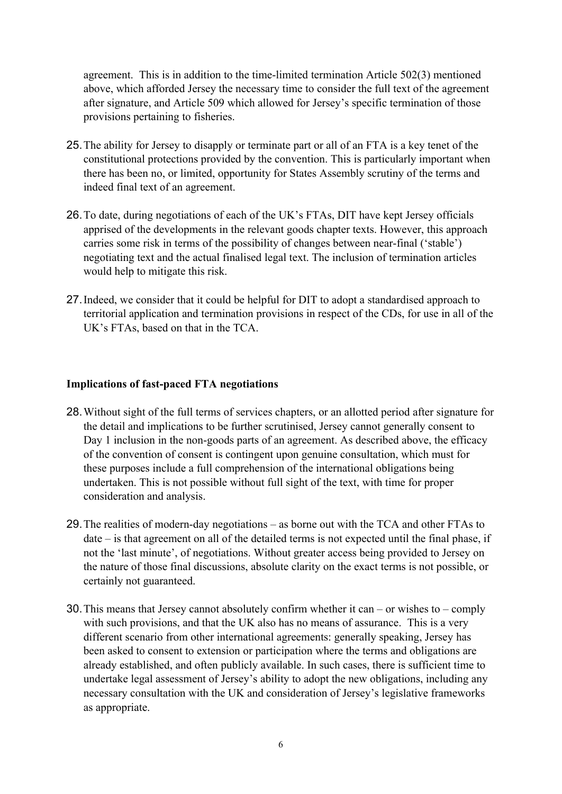agreement. This is in addition to the time-limited termination Article 502(3) mentioned above, which afforded Jersey the necessary time to consider the full text of the agreement after signature, and Article 509 which allowed for Jersey's specific termination of those provisions pertaining to fisheries.

- 25.The ability for Jersey to disapply or terminate part or all of an FTA is a key tenet of the constitutional protections provided by the convention. This is particularly important when there has been no, or limited, opportunity for States Assembly scrutiny of the terms and indeed final text of an agreement.
- 26.To date, during negotiations of each of the UK's FTAs, DIT have kept Jersey officials apprised of the developments in the relevant goods chapter texts. However, this approach carries some risk in terms of the possibility of changes between near-final ('stable') negotiating text and the actual finalised legal text. The inclusion of termination articles would help to mitigate this risk.
- 27.Indeed, we consider that it could be helpful for DIT to adopt a standardised approach to territorial application and termination provisions in respect of the CDs, for use in all of the UK's FTAs, based on that in the TCA.

## **Implications of fast-paced FTA negotiations**

- 28.Without sight of the full terms of services chapters, or an allotted period after signature for the detail and implications to be further scrutinised, Jersey cannot generally consent to Day 1 inclusion in the non-goods parts of an agreement. As described above, the efficacy of the convention of consent is contingent upon genuine consultation, which must for these purposes include a full comprehension of the international obligations being undertaken. This is not possible without full sight of the text, with time for proper consideration and analysis.
- 29.The realities of modern-day negotiations as borne out with the TCA and other FTAs to date – is that agreement on all of the detailed terms is not expected until the final phase, if not the 'last minute', of negotiations. Without greater access being provided to Jersey on the nature of those final discussions, absolute clarity on the exact terms is not possible, or certainly not guaranteed.
- 30.This means that Jersey cannot absolutely confirm whether it can or wishes to comply with such provisions, and that the UK also has no means of assurance. This is a very different scenario from other international agreements: generally speaking, Jersey has been asked to consent to extension or participation where the terms and obligations are already established, and often publicly available. In such cases, there is sufficient time to undertake legal assessment of Jersey's ability to adopt the new obligations, including any necessary consultation with the UK and consideration of Jersey's legislative frameworks as appropriate.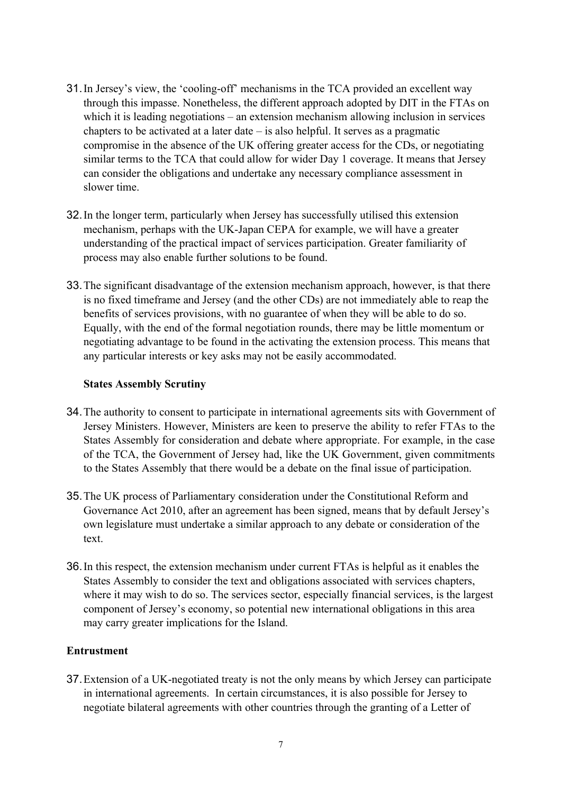- 31.In Jersey's view, the 'cooling-off' mechanisms in the TCA provided an excellent way through this impasse. Nonetheless, the different approach adopted by DIT in the FTAs on which it is leading negotiations – an extension mechanism allowing inclusion in services chapters to be activated at a later date  $-$  is also helpful. It serves as a pragmatic compromise in the absence of the UK offering greater access for the CDs, or negotiating similar terms to the TCA that could allow for wider Day 1 coverage. It means that Jersey can consider the obligations and undertake any necessary compliance assessment in slower time.
- 32.In the longer term, particularly when Jersey has successfully utilised this extension mechanism, perhaps with the UK-Japan CEPA for example, we will have a greater understanding of the practical impact of services participation. Greater familiarity of process may also enable further solutions to be found.
- 33.The significant disadvantage of the extension mechanism approach, however, is that there is no fixed timeframe and Jersey (and the other CDs) are not immediately able to reap the benefits of services provisions, with no guarantee of when they will be able to do so. Equally, with the end of the formal negotiation rounds, there may be little momentum or negotiating advantage to be found in the activating the extension process. This means that any particular interests or key asks may not be easily accommodated.

## **States Assembly Scrutiny**

- 34.The authority to consent to participate in international agreements sits with Government of Jersey Ministers. However, Ministers are keen to preserve the ability to refer FTAs to the States Assembly for consideration and debate where appropriate. For example, in the case of the TCA, the Government of Jersey had, like the UK Government, given commitments to the States Assembly that there would be a debate on the final issue of participation.
- 35.The UK process of Parliamentary consideration under the Constitutional Reform and Governance Act 2010, after an agreement has been signed, means that by default Jersey's own legislature must undertake a similar approach to any debate or consideration of the text.
- 36.In this respect, the extension mechanism under current FTAs is helpful as it enables the States Assembly to consider the text and obligations associated with services chapters, where it may wish to do so. The services sector, especially financial services, is the largest component of Jersey's economy, so potential new international obligations in this area may carry greater implications for the Island.

#### **Entrustment**

37.Extension of a UK-negotiated treaty is not the only means by which Jersey can participate in international agreements. In certain circumstances, it is also possible for Jersey to negotiate bilateral agreements with other countries through the granting of a Letter of